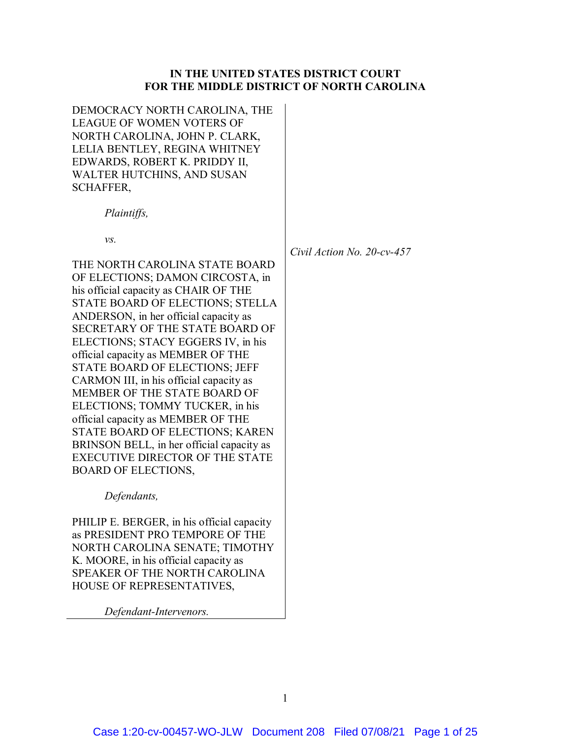## **IN THE UNITED STATES DISTRICT COURT FOR THE MIDDLE DISTRICT OF NORTH CAROLINA**

DEMOCRACY NORTH CAROLINA, THE LEAGUE OF WOMEN VOTERS OF NORTH CAROLINA, JOHN P. CLARK, LELIA BENTLEY, REGINA WHITNEY EDWARDS, ROBERT K. PRIDDY II, WALTER HUTCHINS, AND SUSAN SCHAFFER,

*Plaintiffs,*

*vs.*

THE NORTH CAROLINA STATE BOARD OF ELECTIONS; DAMON CIRCOSTA, in his official capacity as CHAIR OF THE STATE BOARD OF ELECTIONS; STELLA ANDERSON, in her official capacity as SECRETARY OF THE STATE BOARD OF ELECTIONS; STACY EGGERS IV, in his official capacity as MEMBER OF THE STATE BOARD OF ELECTIONS; JEFF CARMON III, in his official capacity as MEMBER OF THE STATE BOARD OF ELECTIONS; TOMMY TUCKER, in his official capacity as MEMBER OF THE STATE BOARD OF ELECTIONS; KAREN BRINSON BELL, in her official capacity as EXECUTIVE DIRECTOR OF THE STATE BOARD OF ELECTIONS,

*Defendants,*

PHILIP E. BERGER, in his official capacity as PRESIDENT PRO TEMPORE OF THE NORTH CAROLINA SENATE; TIMOTHY K. MOORE, in his official capacity as SPEAKER OF THE NORTH CAROLINA HOUSE OF REPRESENTATIVES,

*Defendant-Intervenors.*

*Civil Action No. 20-cv-457*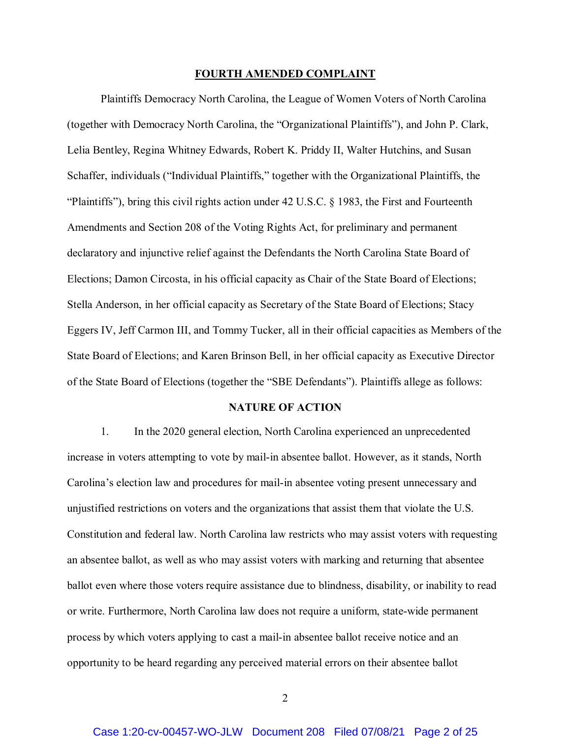#### **FOURTH AMENDED COMPLAINT**

Plaintiffs Democracy North Carolina, the League of Women Voters of North Carolina (together with Democracy North Carolina, the "Organizational Plaintiffs"), and John P. Clark, Lelia Bentley, Regina Whitney Edwards, Robert K. Priddy II, Walter Hutchins, and Susan Schaffer, individuals ("Individual Plaintiffs," together with the Organizational Plaintiffs, the "Plaintiffs"), bring this civil rights action under 42 U.S.C. § 1983, the First and Fourteenth Amendments and Section 208 of the Voting Rights Act, for preliminary and permanent declaratory and injunctive relief against the Defendants the North Carolina State Board of Elections; Damon Circosta, in his official capacity as Chair of the State Board of Elections; Stella Anderson, in her official capacity as Secretary of the State Board of Elections; Stacy Eggers IV, Jeff Carmon III, and Tommy Tucker, all in their official capacities as Members of the State Board of Elections; and Karen Brinson Bell, in her official capacity as Executive Director of the State Board of Elections (together the "SBE Defendants"). Plaintiffs allege as follows:

#### **NATURE OF ACTION**

1. In the 2020 general election, North Carolina experienced an unprecedented increase in voters attempting to vote by mail-in absentee ballot. However, as it stands, North Carolina's election law and procedures for mail-in absentee voting present unnecessary and unjustified restrictions on voters and the organizations that assist them that violate the U.S. Constitution and federal law. North Carolina law restricts who may assist voters with requesting an absentee ballot, as well as who may assist voters with marking and returning that absentee ballot even where those voters require assistance due to blindness, disability, or inability to read or write. Furthermore, North Carolina law does not require a uniform, state-wide permanent process by which voters applying to cast a mail-in absentee ballot receive notice and an opportunity to be heard regarding any perceived material errors on their absentee ballot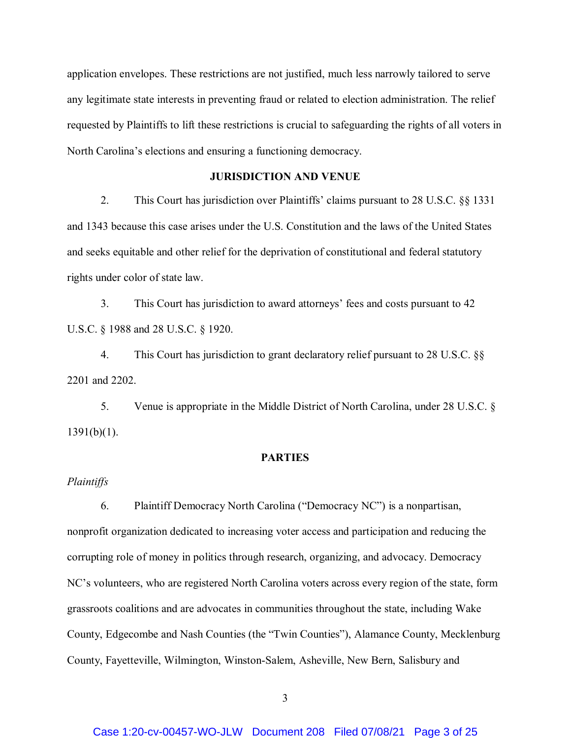application envelopes. These restrictions are not justified, much less narrowly tailored to serve any legitimate state interests in preventing fraud or related to election administration. The relief requested by Plaintiffs to lift these restrictions is crucial to safeguarding the rights of all voters in North Carolina's elections and ensuring a functioning democracy.

# **JURISDICTION AND VENUE**

2. This Court has jurisdiction over Plaintiffs' claims pursuant to 28 U.S.C. §§ 1331 and 1343 because this case arises under the U.S. Constitution and the laws of the United States and seeks equitable and other relief for the deprivation of constitutional and federal statutory rights under color of state law.

3. This Court has jurisdiction to award attorneys' fees and costs pursuant to 42 U.S.C. § 1988 and 28 U.S.C. § 1920.

4. This Court has jurisdiction to grant declaratory relief pursuant to 28 U.S.C. §§ 2201 and 2202.

5. Venue is appropriate in the Middle District of North Carolina, under 28 U.S.C. § 1391(b)(1).

# **PARTIES**

# *Plaintiffs*

6. Plaintiff Democracy North Carolina ("Democracy NC") is a nonpartisan, nonprofit organization dedicated to increasing voter access and participation and reducing the corrupting role of money in politics through research, organizing, and advocacy. Democracy NC's volunteers, who are registered North Carolina voters across every region of the state, form grassroots coalitions and are advocates in communities throughout the state, including Wake County, Edgecombe and Nash Counties (the "Twin Counties"), Alamance County, Mecklenburg County, Fayetteville, Wilmington, Winston-Salem, Asheville, New Bern, Salisbury and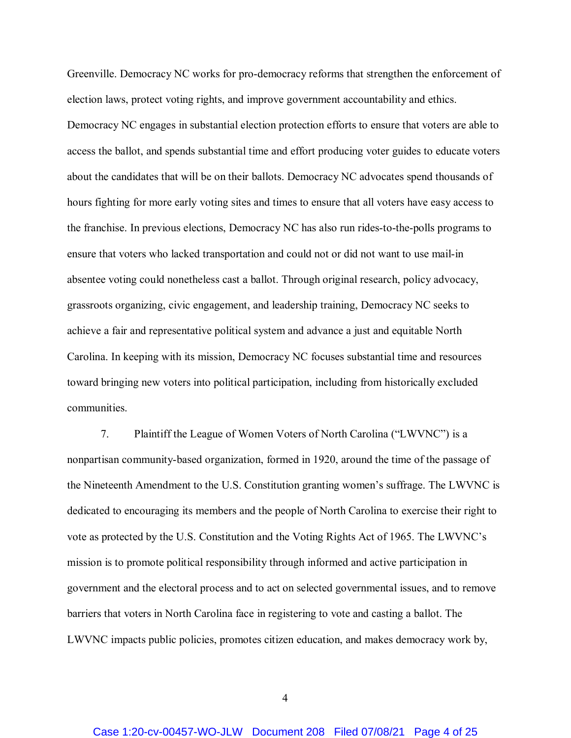Greenville. Democracy NC works for pro-democracy reforms that strengthen the enforcement of election laws, protect voting rights, and improve government accountability and ethics. Democracy NC engages in substantial election protection efforts to ensure that voters are able to access the ballot, and spends substantial time and effort producing voter guides to educate voters about the candidates that will be on their ballots. Democracy NC advocates spend thousands of hours fighting for more early voting sites and times to ensure that all voters have easy access to the franchise. In previous elections, Democracy NC has also run rides-to-the-polls programs to ensure that voters who lacked transportation and could not or did not want to use mail-in absentee voting could nonetheless cast a ballot. Through original research, policy advocacy, grassroots organizing, civic engagement, and leadership training, Democracy NC seeks to achieve a fair and representative political system and advance a just and equitable North Carolina. In keeping with its mission, Democracy NC focuses substantial time and resources toward bringing new voters into political participation, including from historically excluded communities.

7. Plaintiff the League of Women Voters of North Carolina ("LWVNC") is a nonpartisan community-based organization, formed in 1920, around the time of the passage of the Nineteenth Amendment to the U.S. Constitution granting women's suffrage. The LWVNC is dedicated to encouraging its members and the people of North Carolina to exercise their right to vote as protected by the U.S. Constitution and the Voting Rights Act of 1965. The LWVNC's mission is to promote political responsibility through informed and active participation in government and the electoral process and to act on selected governmental issues, and to remove barriers that voters in North Carolina face in registering to vote and casting a ballot. The LWVNC impacts public policies, promotes citizen education, and makes democracy work by,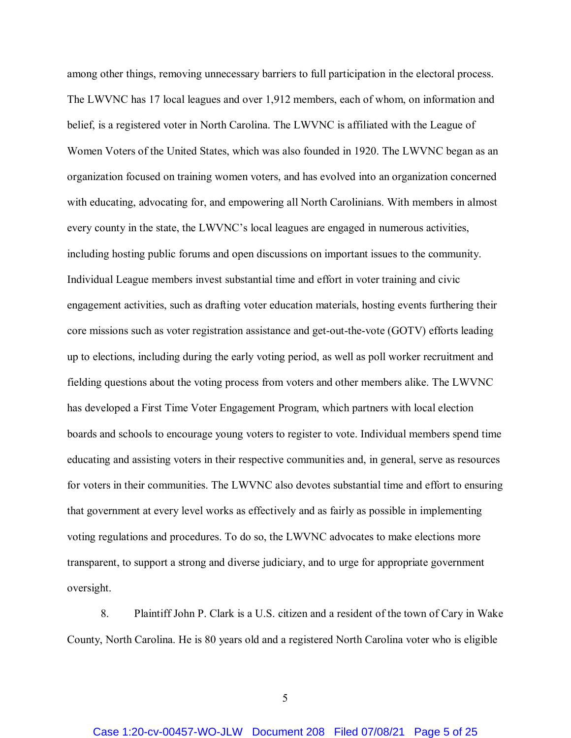among other things, removing unnecessary barriers to full participation in the electoral process. The LWVNC has 17 local leagues and over 1,912 members, each of whom, on information and belief, is a registered voter in North Carolina. The LWVNC is affiliated with the League of Women Voters of the United States, which was also founded in 1920. The LWVNC began as an organization focused on training women voters, and has evolved into an organization concerned with educating, advocating for, and empowering all North Carolinians. With members in almost every county in the state, the LWVNC's local leagues are engaged in numerous activities, including hosting public forums and open discussions on important issues to the community. Individual League members invest substantial time and effort in voter training and civic engagement activities, such as drafting voter education materials, hosting events furthering their core missions such as voter registration assistance and get-out-the-vote (GOTV) efforts leading up to elections, including during the early voting period, as well as poll worker recruitment and fielding questions about the voting process from voters and other members alike. The LWVNC has developed a First Time Voter Engagement Program, which partners with local election boards and schools to encourage young voters to register to vote. Individual members spend time educating and assisting voters in their respective communities and, in general, serve as resources for voters in their communities. The LWVNC also devotes substantial time and effort to ensuring that government at every level works as effectively and as fairly as possible in implementing voting regulations and procedures. To do so, the LWVNC advocates to make elections more transparent, to support a strong and diverse judiciary, and to urge for appropriate government oversight.

8. Plaintiff John P. Clark is a U.S. citizen and a resident of the town of Cary in Wake County, North Carolina. He is 80 years old and a registered North Carolina voter who is eligible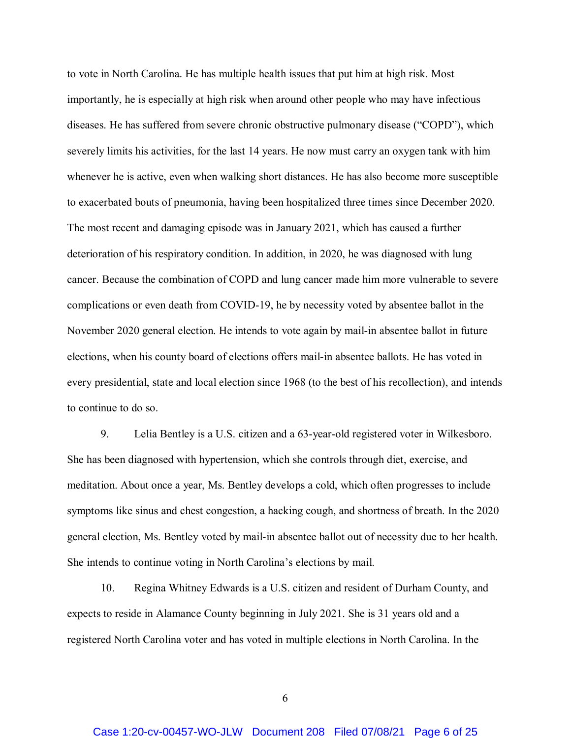to vote in North Carolina. He has multiple health issues that put him at high risk. Most importantly, he is especially at high risk when around other people who may have infectious diseases. He has suffered from severe chronic obstructive pulmonary disease ("COPD"), which severely limits his activities, for the last 14 years. He now must carry an oxygen tank with him whenever he is active, even when walking short distances. He has also become more susceptible to exacerbated bouts of pneumonia, having been hospitalized three times since December 2020. The most recent and damaging episode was in January 2021, which has caused a further deterioration of his respiratory condition. In addition, in 2020, he was diagnosed with lung cancer. Because the combination of COPD and lung cancer made him more vulnerable to severe complications or even death from COVID-19, he by necessity voted by absentee ballot in the November 2020 general election. He intends to vote again by mail-in absentee ballot in future elections, when his county board of elections offers mail-in absentee ballots. He has voted in every presidential, state and local election since 1968 (to the best of his recollection), and intends to continue to do so.

9. Lelia Bentley is a U.S. citizen and a 63-year-old registered voter in Wilkesboro. She has been diagnosed with hypertension, which she controls through diet, exercise, and meditation. About once a year, Ms. Bentley develops a cold, which often progresses to include symptoms like sinus and chest congestion, a hacking cough, and shortness of breath. In the 2020 general election, Ms. Bentley voted by mail-in absentee ballot out of necessity due to her health. She intends to continue voting in North Carolina's elections by mail.

10. Regina Whitney Edwards is a U.S. citizen and resident of Durham County, and expects to reside in Alamance County beginning in July 2021. She is 31 years old and a registered North Carolina voter and has voted in multiple elections in North Carolina. In the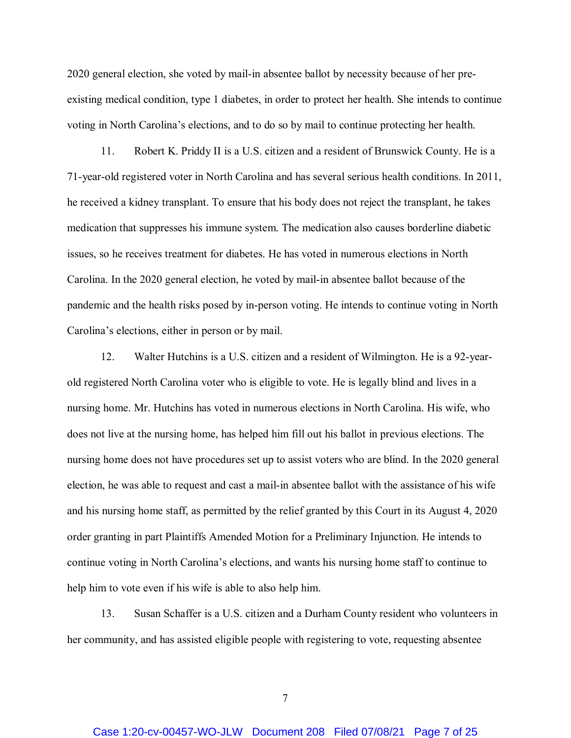2020 general election, she voted by mail-in absentee ballot by necessity because of her preexisting medical condition, type 1 diabetes, in order to protect her health. She intends to continue voting in North Carolina's elections, and to do so by mail to continue protecting her health.

11. Robert K. Priddy II is a U.S. citizen and a resident of Brunswick County. He is a 71-year-old registered voter in North Carolina and has several serious health conditions. In 2011, he received a kidney transplant. To ensure that his body does not reject the transplant, he takes medication that suppresses his immune system. The medication also causes borderline diabetic issues, so he receives treatment for diabetes. He has voted in numerous elections in North Carolina. In the 2020 general election, he voted by mail-in absentee ballot because of the pandemic and the health risks posed by in-person voting. He intends to continue voting in North Carolina's elections, either in person or by mail.

12. Walter Hutchins is a U.S. citizen and a resident of Wilmington. He is a 92-yearold registered North Carolina voter who is eligible to vote. He is legally blind and lives in a nursing home. Mr. Hutchins has voted in numerous elections in North Carolina. His wife, who does not live at the nursing home, has helped him fill out his ballot in previous elections. The nursing home does not have procedures set up to assist voters who are blind. In the 2020 general election, he was able to request and cast a mail-in absentee ballot with the assistance of his wife and his nursing home staff, as permitted by the relief granted by this Court in its August 4, 2020 order granting in part Plaintiffs Amended Motion for a Preliminary Injunction. He intends to continue voting in North Carolina's elections, and wants his nursing home staff to continue to help him to vote even if his wife is able to also help him.

13. Susan Schaffer is a U.S. citizen and a Durham County resident who volunteers in her community, and has assisted eligible people with registering to vote, requesting absentee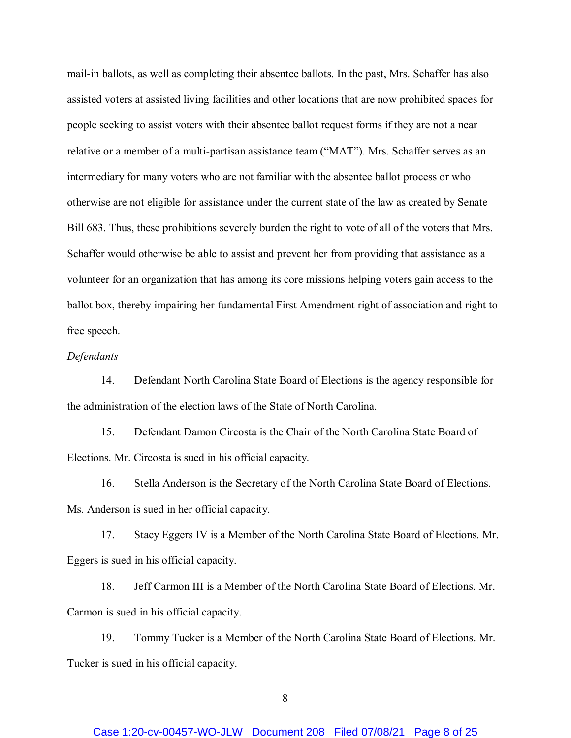mail-in ballots, as well as completing their absentee ballots. In the past, Mrs. Schaffer has also assisted voters at assisted living facilities and other locations that are now prohibited spaces for people seeking to assist voters with their absentee ballot request forms if they are not a near relative or a member of a multi-partisan assistance team ("MAT"). Mrs. Schaffer serves as an intermediary for many voters who are not familiar with the absentee ballot process or who otherwise are not eligible for assistance under the current state of the law as created by Senate Bill 683. Thus, these prohibitions severely burden the right to vote of all of the voters that Mrs. Schaffer would otherwise be able to assist and prevent her from providing that assistance as a volunteer for an organization that has among its core missions helping voters gain access to the ballot box, thereby impairing her fundamental First Amendment right of association and right to free speech.

### *Defendants*

14. Defendant North Carolina State Board of Elections is the agency responsible for the administration of the election laws of the State of North Carolina.

15. Defendant Damon Circosta is the Chair of the North Carolina State Board of Elections. Mr. Circosta is sued in his official capacity.

16. Stella Anderson is the Secretary of the North Carolina State Board of Elections. Ms. Anderson is sued in her official capacity.

17. Stacy Eggers IV is a Member of the North Carolina State Board of Elections. Mr. Eggers is sued in his official capacity.

18. Jeff Carmon III is a Member of the North Carolina State Board of Elections. Mr. Carmon is sued in his official capacity.

19. Tommy Tucker is a Member of the North Carolina State Board of Elections. Mr. Tucker is sued in his official capacity.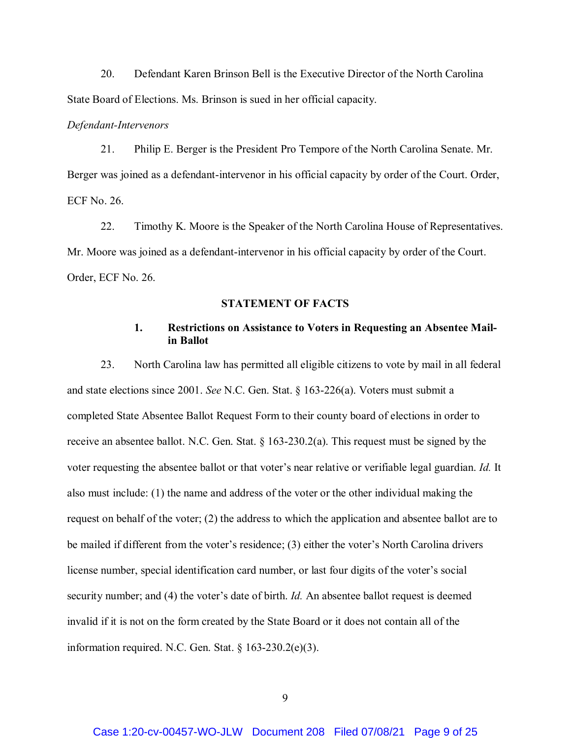20. Defendant Karen Brinson Bell is the Executive Director of the North Carolina State Board of Elections. Ms. Brinson is sued in her official capacity.

#### *Defendant-Intervenors*

21. Philip E. Berger is the President Pro Tempore of the North Carolina Senate. Mr. Berger was joined as a defendant-intervenor in his official capacity by order of the Court. Order, ECF No. 26.

22. Timothy K. Moore is the Speaker of the North Carolina House of Representatives. Mr. Moore was joined as a defendant-intervenor in his official capacity by order of the Court. Order, ECF No. 26.

#### **STATEMENT OF FACTS**

# **1. Restrictions on Assistance to Voters in Requesting an Absentee Mailin Ballot**

23. North Carolina law has permitted all eligible citizens to vote by mail in all federal and state elections since 2001. *See* N.C. Gen. Stat. § 163-226(a). Voters must submit a completed State Absentee Ballot Request Form to their county board of elections in order to receive an absentee ballot. N.C. Gen. Stat. § 163-230.2(a). This request must be signed by the voter requesting the absentee ballot or that voter's near relative or verifiable legal guardian. *Id.* It also must include: (1) the name and address of the voter or the other individual making the request on behalf of the voter; (2) the address to which the application and absentee ballot are to be mailed if different from the voter's residence; (3) either the voter's North Carolina drivers license number, special identification card number, or last four digits of the voter's social security number; and (4) the voter's date of birth. *Id.* An absentee ballot request is deemed invalid if it is not on the form created by the State Board or it does not contain all of the information required. N.C. Gen. Stat. § 163-230.2(e)(3).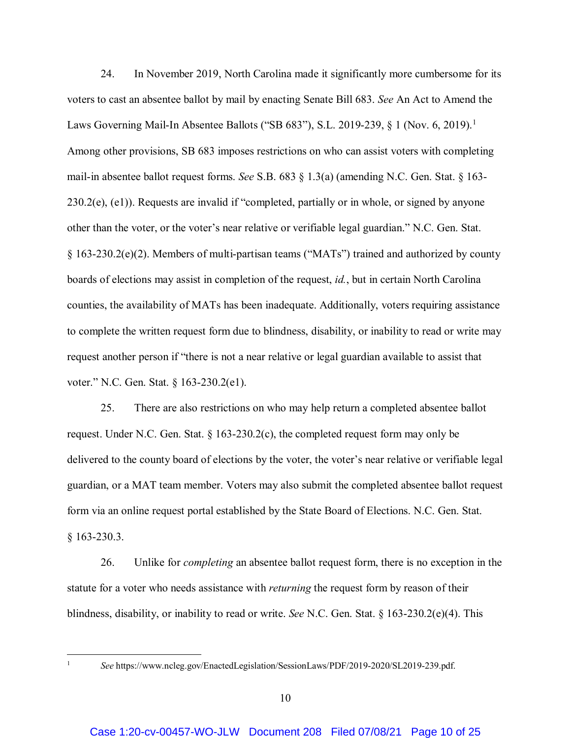24. In November 2019, North Carolina made it significantly more cumbersome for its voters to cast an absentee ballot by mail by enacting Senate Bill 683. *See* An Act to Amend the Laws Governing Mail-In Absentee Ballots ("SB 683"), S.L. 2019-239, § 1 (Nov. 6, 2019).<sup>1</sup> Among other provisions, SB 683 imposes restrictions on who can assist voters with completing mail-in absentee ballot request forms. *See* S.B. 683 § 1.3(a) (amending N.C. Gen. Stat. § 163- 230.2(e), (e1)). Requests are invalid if "completed, partially or in whole, or signed by anyone other than the voter, or the voter's near relative or verifiable legal guardian." N.C. Gen. Stat. § 163-230.2(e)(2). Members of multi-partisan teams ("MATs") trained and authorized by county boards of elections may assist in completion of the request, *id.*, but in certain North Carolina counties, the availability of MATs has been inadequate. Additionally, voters requiring assistance to complete the written request form due to blindness, disability, or inability to read or write may request another person if "there is not a near relative or legal guardian available to assist that voter." N.C. Gen. Stat. § 163-230.2(e1).

25. There are also restrictions on who may help return a completed absentee ballot request. Under N.C. Gen. Stat.  $\S$  163-230.2(c), the completed request form may only be delivered to the county board of elections by the voter, the voter's near relative or verifiable legal guardian, or a MAT team member. Voters may also submit the completed absentee ballot request form via an online request portal established by the State Board of Elections. N.C. Gen. Stat. § 163-230.3.

26. Unlike for *completing* an absentee ballot request form, there is no exception in the statute for a voter who needs assistance with *returning* the request form by reason of their blindness, disability, or inability to read or write. *See* N.C. Gen. Stat. § 163-230.2(e)(4). This

 <sup>1</sup> *See* https://www.ncleg.gov/EnactedLegislation/SessionLaws/PDF/2019-2020/SL2019-239.pdf.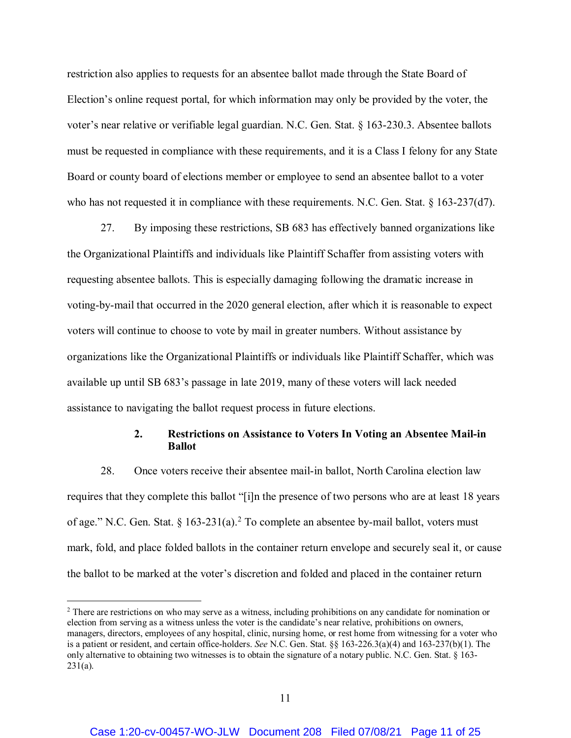restriction also applies to requests for an absentee ballot made through the State Board of Election's online request portal, for which information may only be provided by the voter, the voter's near relative or verifiable legal guardian. N.C. Gen. Stat. § 163-230.3. Absentee ballots must be requested in compliance with these requirements, and it is a Class I felony for any State Board or county board of elections member or employee to send an absentee ballot to a voter who has not requested it in compliance with these requirements. N.C. Gen. Stat. § 163-237(d7).

27. By imposing these restrictions, SB 683 has effectively banned organizations like the Organizational Plaintiffs and individuals like Plaintiff Schaffer from assisting voters with requesting absentee ballots. This is especially damaging following the dramatic increase in voting-by-mail that occurred in the 2020 general election, after which it is reasonable to expect voters will continue to choose to vote by mail in greater numbers. Without assistance by organizations like the Organizational Plaintiffs or individuals like Plaintiff Schaffer, which was available up until SB 683's passage in late 2019, many of these voters will lack needed assistance to navigating the ballot request process in future elections.

# **2. Restrictions on Assistance to Voters In Voting an Absentee Mail-in Ballot**

28. Once voters receive their absentee mail-in ballot, North Carolina election law requires that they complete this ballot "[i]n the presence of two persons who are at least 18 years of age." N.C. Gen. Stat. § 163-231(a).<sup>2</sup> To complete an absentee by-mail ballot, voters must mark, fold, and place folded ballots in the container return envelope and securely seal it, or cause the ballot to be marked at the voter's discretion and folded and placed in the container return

<sup>&</sup>lt;sup>2</sup> There are restrictions on who may serve as a witness, including prohibitions on any candidate for nomination or election from serving as a witness unless the voter is the candidate's near relative, prohibitions on owners, managers, directors, employees of any hospital, clinic, nursing home, or rest home from witnessing for a voter who is a patient or resident, and certain office-holders. *See* N.C. Gen. Stat. §§ 163-226.3(a)(4) and 163-237(b)(1). The only alternative to obtaining two witnesses is to obtain the signature of a notary public. N.C. Gen. Stat. § 163- 231(a).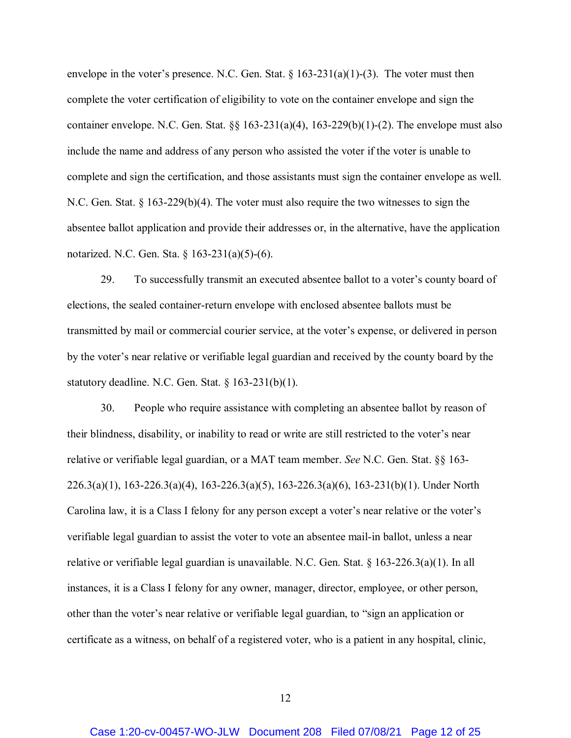envelope in the voter's presence. N.C. Gen. Stat.  $\S 163-231(a)(1)-(3)$ . The voter must then complete the voter certification of eligibility to vote on the container envelope and sign the container envelope. N.C. Gen. Stat.  $\S_{\S}$  163-231(a)(4), 163-229(b)(1)-(2). The envelope must also include the name and address of any person who assisted the voter if the voter is unable to complete and sign the certification, and those assistants must sign the container envelope as well. N.C. Gen. Stat. § 163-229(b)(4). The voter must also require the two witnesses to sign the absentee ballot application and provide their addresses or, in the alternative, have the application notarized. N.C. Gen. Sta. § 163-231(a)(5)-(6).

29. To successfully transmit an executed absentee ballot to a voter's county board of elections, the sealed container-return envelope with enclosed absentee ballots must be transmitted by mail or commercial courier service, at the voter's expense, or delivered in person by the voter's near relative or verifiable legal guardian and received by the county board by the statutory deadline. N.C. Gen. Stat. § 163-231(b)(1).

30. People who require assistance with completing an absentee ballot by reason of their blindness, disability, or inability to read or write are still restricted to the voter's near relative or verifiable legal guardian, or a MAT team member. *See* N.C. Gen. Stat. §§ 163- 226.3(a)(1), 163-226.3(a)(4), 163-226.3(a)(5), 163-226.3(a)(6), 163-231(b)(1). Under North Carolina law, it is a Class I felony for any person except a voter's near relative or the voter's verifiable legal guardian to assist the voter to vote an absentee mail-in ballot, unless a near relative or verifiable legal guardian is unavailable. N.C. Gen. Stat. § 163-226.3(a)(1). In all instances, it is a Class I felony for any owner, manager, director, employee, or other person, other than the voter's near relative or verifiable legal guardian, to "sign an application or certificate as a witness, on behalf of a registered voter, who is a patient in any hospital, clinic,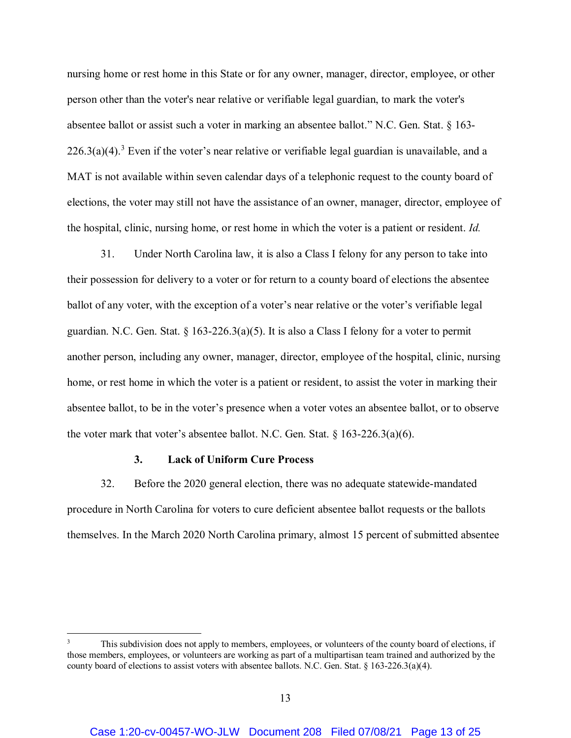nursing home or rest home in this State or for any owner, manager, director, employee, or other person other than the voter's near relative or verifiable legal guardian, to mark the voter's absentee ballot or assist such a voter in marking an absentee ballot." N.C. Gen. Stat. § 163-  $226.3(a)(4).$ <sup>3</sup> Even if the voter's near relative or verifiable legal guardian is unavailable, and a MAT is not available within seven calendar days of a telephonic request to the county board of elections, the voter may still not have the assistance of an owner, manager, director, employee of the hospital, clinic, nursing home, or rest home in which the voter is a patient or resident. *Id.*

31. Under North Carolina law, it is also a Class I felony for any person to take into their possession for delivery to a voter or for return to a county board of elections the absentee ballot of any voter, with the exception of a voter's near relative or the voter's verifiable legal guardian. N.C. Gen. Stat. § 163-226.3(a)(5). It is also a Class I felony for a voter to permit another person, including any owner, manager, director, employee of the hospital, clinic, nursing home, or rest home in which the voter is a patient or resident, to assist the voter in marking their absentee ballot, to be in the voter's presence when a voter votes an absentee ballot, or to observe the voter mark that voter's absentee ballot. N.C. Gen. Stat.  $\S 163-226.3(a)(6)$ .

#### **3. Lack of Uniform Cure Process**

32. Before the 2020 general election, there was no adequate statewide-mandated procedure in North Carolina for voters to cure deficient absentee ballot requests or the ballots themselves. In the March 2020 North Carolina primary, almost 15 percent of submitted absentee

This subdivision does not apply to members, employees, or volunteers of the county board of elections, if those members, employees, or volunteers are working as part of a multipartisan team trained and authorized by the county board of elections to assist voters with absentee ballots. N.C. Gen. Stat. § 163-226.3(a)(4).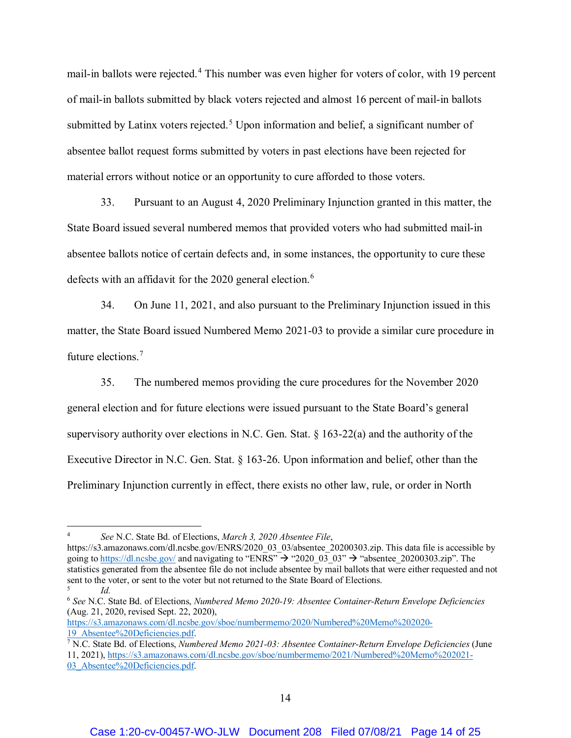mail-in ballots were rejected.<sup>4</sup> This number was even higher for voters of color, with 19 percent of mail-in ballots submitted by black voters rejected and almost 16 percent of mail-in ballots submitted by Latinx voters rejected.<sup>5</sup> Upon information and belief, a significant number of absentee ballot request forms submitted by voters in past elections have been rejected for material errors without notice or an opportunity to cure afforded to those voters.

33. Pursuant to an August 4, 2020 Preliminary Injunction granted in this matter, the State Board issued several numbered memos that provided voters who had submitted mail-in absentee ballots notice of certain defects and, in some instances, the opportunity to cure these defects with an affidavit for the 2020 general election.<sup>6</sup>

34. On June 11, 2021, and also pursuant to the Preliminary Injunction issued in this matter, the State Board issued Numbered Memo 2021-03 to provide a similar cure procedure in future elections.<sup>7</sup>

35. The numbered memos providing the cure procedures for the November 2020 general election and for future elections were issued pursuant to the State Board's general supervisory authority over elections in N.C. Gen. Stat. § 163-22(a) and the authority of the Executive Director in N.C. Gen. Stat. § 163-26. Upon information and belief, other than the Preliminary Injunction currently in effect, there exists no other law, rule, or order in North

19\_Absentee%20Deficiencies.pdf. 7 N.C. State Bd. of Elections, *Numbered Memo 2021-03: Absentee Container-Return Envelope Deficiencies* (June 11, 2021), https://s3.amazonaws.com/dl.ncsbe.gov/sboe/numbermemo/2021/Numbered%20Memo%202021-

 <sup>4</sup> *See* N.C. State Bd. of Elections, *March 3, 2020 Absentee File*,

https://s3.amazonaws.com/dl.ncsbe.gov/ENRS/2020\_03\_03/absentee\_20200303.zip. This data file is accessible by going to https://dl.ncsbe.gov/ and navigating to "ENRS"  $\rightarrow$  "2020-03-03"  $\rightarrow$  "absentee\_20200303.zip". The statistics generated from the absentee file do not include absentee by mail ballots that were either requested and not sent to the voter, or sent to the voter but not returned to the State Board of Elections. <sup>5</sup> *Id.*

<sup>6</sup> *See* N.C. State Bd. of Elections, *Numbered Memo 2020-19: Absentee Container-Return Envelope Deficiencies* (Aug. 21, 2020, revised Sept. 22, 2020),

https://s3.amazonaws.com/dl.ncsbe.gov/sboe/numbermemo/2020/Numbered%20Memo%202020-

<sup>03</sup> Absentee%20Deficiencies.pdf.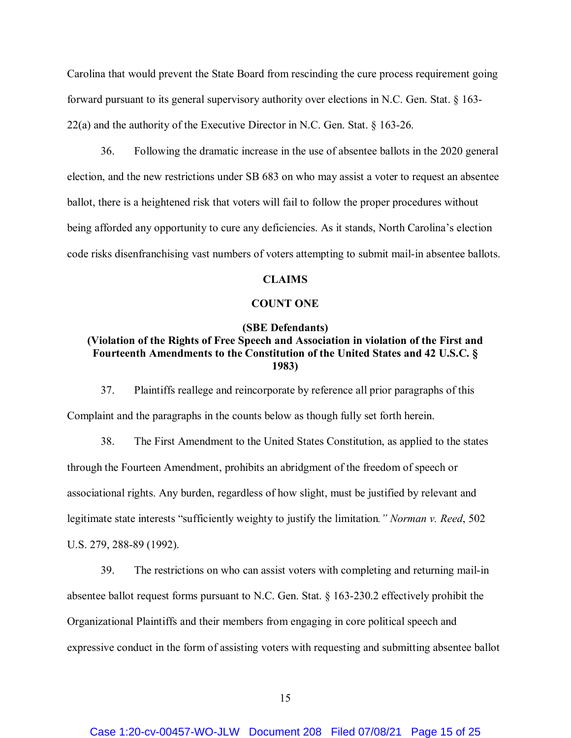Carolina that would prevent the State Board from rescinding the cure process requirement going forward pursuant to its general supervisory authority over elections in N.C. Gen. Stat. § 163- 22(a) and the authority of the Executive Director in N.C. Gen. Stat. § 163-26.

36. Following the dramatic increase in the use of absentee ballots in the 2020 general election, and the new restrictions under SB 683 on who may assist a voter to request an absentee ballot, there is a heightened risk that voters will fail to follow the proper procedures without being afforded any opportunity to cure any deficiencies. As it stands, North Carolina's election code risks disenfranchising vast numbers of voters attempting to submit mail-in absentee ballots.

## **CLAIMS**

## **COUNT ONE**

#### **(SBE Defendants)**

# **(Violation of the Rights of Free Speech and Association in violation of the First and Fourteenth Amendments to the Constitution of the United States and 42 U.S.C. § 1983)**

37. Plaintiffs reallege and reincorporate by reference all prior paragraphs of this Complaint and the paragraphs in the counts below as though fully set forth herein.

38. The First Amendment to the United States Constitution, as applied to the states through the Fourteen Amendment, prohibits an abridgment of the freedom of speech or associational rights. Any burden, regardless of how slight, must be justified by relevant and legitimate state interests "sufficiently weighty to justify the limitation*." Norman v. Reed*, 502 U.S. 279, 288-89 (1992).

39. The restrictions on who can assist voters with completing and returning mail-in absentee ballot request forms pursuant to N.C. Gen. Stat. § 163-230.2 effectively prohibit the Organizational Plaintiffs and their members from engaging in core political speech and expressive conduct in the form of assisting voters with requesting and submitting absentee ballot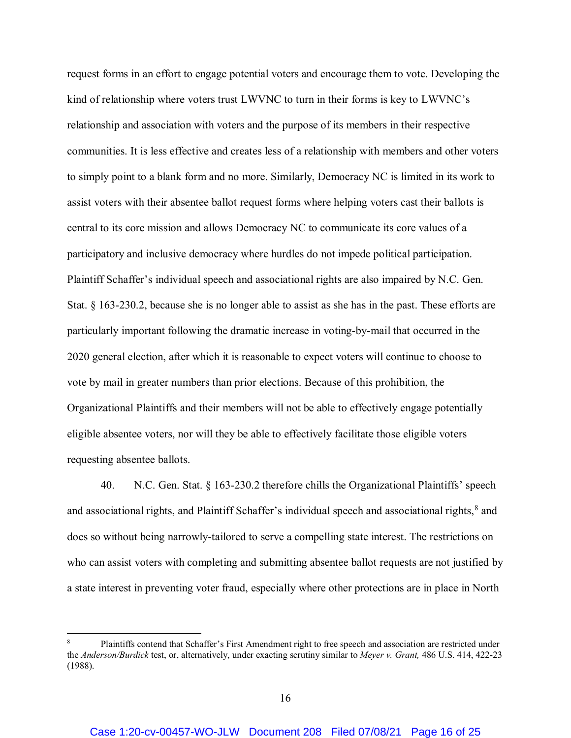request forms in an effort to engage potential voters and encourage them to vote. Developing the kind of relationship where voters trust LWVNC to turn in their forms is key to LWVNC's relationship and association with voters and the purpose of its members in their respective communities. It is less effective and creates less of a relationship with members and other voters to simply point to a blank form and no more. Similarly, Democracy NC is limited in its work to assist voters with their absentee ballot request forms where helping voters cast their ballots is central to its core mission and allows Democracy NC to communicate its core values of a participatory and inclusive democracy where hurdles do not impede political participation. Plaintiff Schaffer's individual speech and associational rights are also impaired by N.C. Gen. Stat. § 163-230.2, because she is no longer able to assist as she has in the past. These efforts are particularly important following the dramatic increase in voting-by-mail that occurred in the 2020 general election, after which it is reasonable to expect voters will continue to choose to vote by mail in greater numbers than prior elections. Because of this prohibition, the Organizational Plaintiffs and their members will not be able to effectively engage potentially eligible absentee voters, nor will they be able to effectively facilitate those eligible voters requesting absentee ballots.

40. N.C. Gen. Stat. § 163-230.2 therefore chills the Organizational Plaintiffs' speech and associational rights, and Plaintiff Schaffer's individual speech and associational rights, $^8$  and does so without being narrowly-tailored to serve a compelling state interest. The restrictions on who can assist voters with completing and submitting absentee ballot requests are not justified by a state interest in preventing voter fraud, especially where other protections are in place in North

 <sup>8</sup> Plaintiffs contend that Schaffer's First Amendment right to free speech and association are restricted under the *Anderson/Burdick* test, or, alternatively, under exacting scrutiny similar to *Meyer v. Grant,* 486 U.S. 414, 422-23 (1988).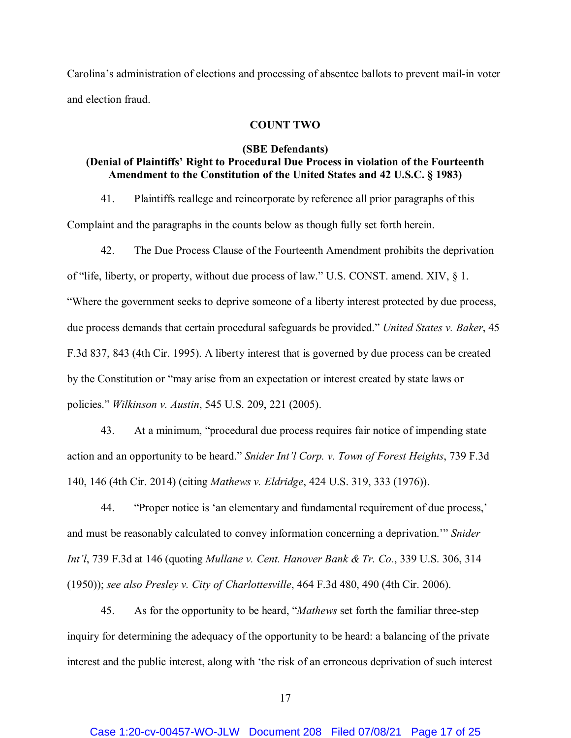Carolina's administration of elections and processing of absentee ballots to prevent mail-in voter and election fraud.

## **COUNT TWO**

# **(SBE Defendants) (Denial of Plaintiffs' Right to Procedural Due Process in violation of the Fourteenth Amendment to the Constitution of the United States and 42 U.S.C. § 1983)**

41. Plaintiffs reallege and reincorporate by reference all prior paragraphs of this

Complaint and the paragraphs in the counts below as though fully set forth herein.

42. The Due Process Clause of the Fourteenth Amendment prohibits the deprivation of "life, liberty, or property, without due process of law." U.S. CONST. amend. XIV, § 1. "Where the government seeks to deprive someone of a liberty interest protected by due process, due process demands that certain procedural safeguards be provided." *United States v. Baker*, 45 F.3d 837, 843 (4th Cir. 1995). A liberty interest that is governed by due process can be created by the Constitution or "may arise from an expectation or interest created by state laws or policies." *Wilkinson v. Austin*, 545 U.S. 209, 221 (2005).

43. At a minimum, "procedural due process requires fair notice of impending state action and an opportunity to be heard." *Snider Int'l Corp. v. Town of Forest Heights*, 739 F.3d 140, 146 (4th Cir. 2014) (citing *Mathews v. Eldridge*, 424 U.S. 319, 333 (1976)).

44. "Proper notice is 'an elementary and fundamental requirement of due process,' and must be reasonably calculated to convey information concerning a deprivation.'" *Snider Int'l*, 739 F.3d at 146 (quoting *Mullane v. Cent. Hanover Bank & Tr. Co.*, 339 U.S. 306, 314 (1950)); *see also Presley v. City of Charlottesville*, 464 F.3d 480, 490 (4th Cir. 2006).

45. As for the opportunity to be heard, "*Mathews* set forth the familiar three-step inquiry for determining the adequacy of the opportunity to be heard: a balancing of the private interest and the public interest, along with 'the risk of an erroneous deprivation of such interest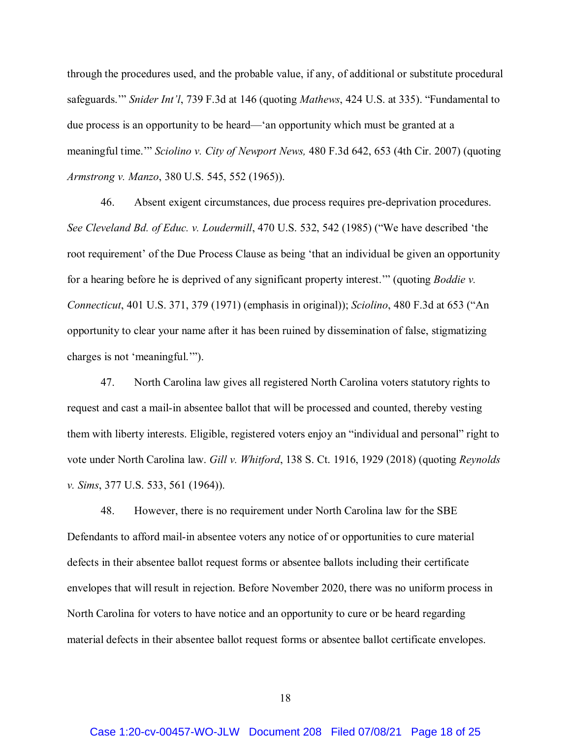through the procedures used, and the probable value, if any, of additional or substitute procedural safeguards.'" *Snider Int'l*, 739 F.3d at 146 (quoting *Mathews*, 424 U.S. at 335). "Fundamental to due process is an opportunity to be heard—'an opportunity which must be granted at a meaningful time.'" *Sciolino v. City of Newport News,* 480 F.3d 642, 653 (4th Cir. 2007) (quoting *Armstrong v. Manzo*, 380 U.S. 545, 552 (1965)).

46. Absent exigent circumstances, due process requires pre-deprivation procedures. *See Cleveland Bd. of Educ. v. Loudermill*, 470 U.S. 532, 542 (1985) ("We have described 'the root requirement' of the Due Process Clause as being 'that an individual be given an opportunity for a hearing before he is deprived of any significant property interest.'" (quoting *Boddie v. Connecticut*, 401 U.S. 371, 379 (1971) (emphasis in original)); *Sciolino*, 480 F.3d at 653 ("An opportunity to clear your name after it has been ruined by dissemination of false, stigmatizing charges is not 'meaningful.'").

47. North Carolina law gives all registered North Carolina voters statutory rights to request and cast a mail-in absentee ballot that will be processed and counted, thereby vesting them with liberty interests. Eligible, registered voters enjoy an "individual and personal" right to vote under North Carolina law. *Gill v. Whitford*, 138 S. Ct. 1916, 1929 (2018) (quoting *Reynolds v. Sims*, 377 U.S. 533, 561 (1964)).

48. However, there is no requirement under North Carolina law for the SBE Defendants to afford mail-in absentee voters any notice of or opportunities to cure material defects in their absentee ballot request forms or absentee ballots including their certificate envelopes that will result in rejection. Before November 2020, there was no uniform process in North Carolina for voters to have notice and an opportunity to cure or be heard regarding material defects in their absentee ballot request forms or absentee ballot certificate envelopes.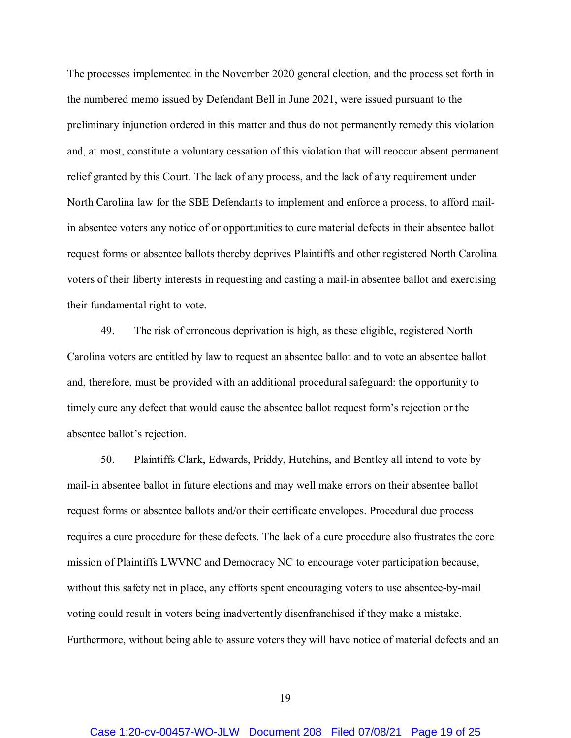The processes implemented in the November 2020 general election, and the process set forth in the numbered memo issued by Defendant Bell in June 2021, were issued pursuant to the preliminary injunction ordered in this matter and thus do not permanently remedy this violation and, at most, constitute a voluntary cessation of this violation that will reoccur absent permanent relief granted by this Court. The lack of any process, and the lack of any requirement under North Carolina law for the SBE Defendants to implement and enforce a process, to afford mailin absentee voters any notice of or opportunities to cure material defects in their absentee ballot request forms or absentee ballots thereby deprives Plaintiffs and other registered North Carolina voters of their liberty interests in requesting and casting a mail-in absentee ballot and exercising their fundamental right to vote.

49. The risk of erroneous deprivation is high, as these eligible, registered North Carolina voters are entitled by law to request an absentee ballot and to vote an absentee ballot and, therefore, must be provided with an additional procedural safeguard: the opportunity to timely cure any defect that would cause the absentee ballot request form's rejection or the absentee ballot's rejection.

50. Plaintiffs Clark, Edwards, Priddy, Hutchins, and Bentley all intend to vote by mail-in absentee ballot in future elections and may well make errors on their absentee ballot request forms or absentee ballots and/or their certificate envelopes. Procedural due process requires a cure procedure for these defects. The lack of a cure procedure also frustrates the core mission of Plaintiffs LWVNC and Democracy NC to encourage voter participation because, without this safety net in place, any efforts spent encouraging voters to use absentee-by-mail voting could result in voters being inadvertently disenfranchised if they make a mistake. Furthermore, without being able to assure voters they will have notice of material defects and an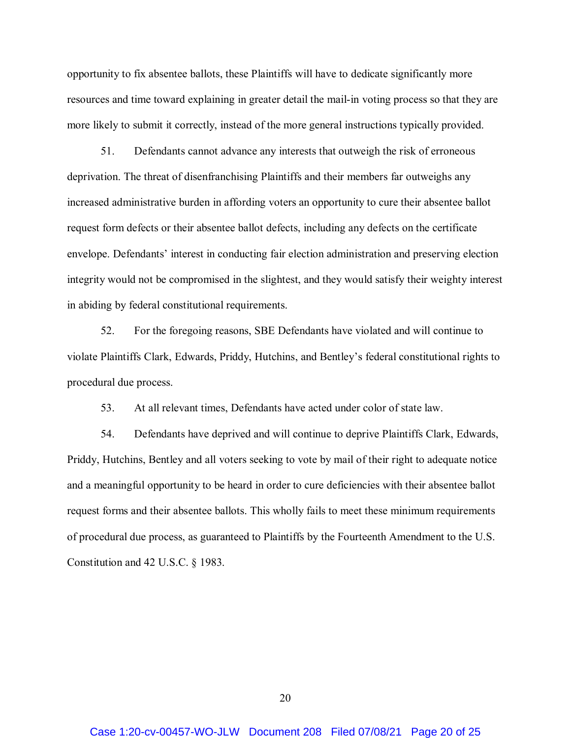opportunity to fix absentee ballots, these Plaintiffs will have to dedicate significantly more resources and time toward explaining in greater detail the mail-in voting process so that they are more likely to submit it correctly, instead of the more general instructions typically provided.

51. Defendants cannot advance any interests that outweigh the risk of erroneous deprivation. The threat of disenfranchising Plaintiffs and their members far outweighs any increased administrative burden in affording voters an opportunity to cure their absentee ballot request form defects or their absentee ballot defects, including any defects on the certificate envelope. Defendants' interest in conducting fair election administration and preserving election integrity would not be compromised in the slightest, and they would satisfy their weighty interest in abiding by federal constitutional requirements.

52. For the foregoing reasons, SBE Defendants have violated and will continue to violate Plaintiffs Clark, Edwards, Priddy, Hutchins, and Bentley's federal constitutional rights to procedural due process.

53. At all relevant times, Defendants have acted under color of state law.

54. Defendants have deprived and will continue to deprive Plaintiffs Clark, Edwards, Priddy, Hutchins, Bentley and all voters seeking to vote by mail of their right to adequate notice and a meaningful opportunity to be heard in order to cure deficiencies with their absentee ballot request forms and their absentee ballots. This wholly fails to meet these minimum requirements of procedural due process, as guaranteed to Plaintiffs by the Fourteenth Amendment to the U.S. Constitution and 42 U.S.C. § 1983.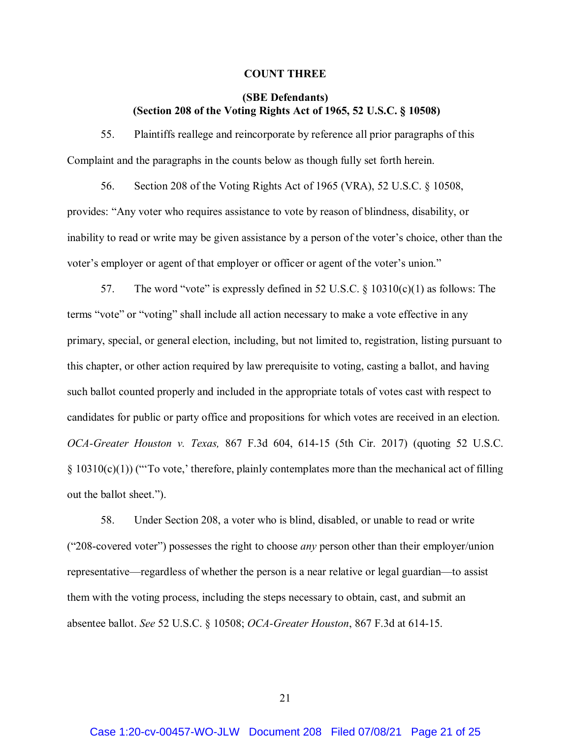#### **COUNT THREE**

# **(SBE Defendants) (Section 208 of the Voting Rights Act of 1965, 52 U.S.C. § 10508)**

55. Plaintiffs reallege and reincorporate by reference all prior paragraphs of this Complaint and the paragraphs in the counts below as though fully set forth herein.

56. Section 208 of the Voting Rights Act of 1965 (VRA), 52 U.S.C. § 10508, provides: "Any voter who requires assistance to vote by reason of blindness, disability, or inability to read or write may be given assistance by a person of the voter's choice, other than the voter's employer or agent of that employer or officer or agent of the voter's union."

57. The word "vote" is expressly defined in 52 U.S.C.  $\S$  10310(c)(1) as follows: The terms "vote" or "voting" shall include all action necessary to make a vote effective in any primary, special, or general election, including, but not limited to, registration, listing pursuant to this chapter, or other action required by law prerequisite to voting, casting a ballot, and having such ballot counted properly and included in the appropriate totals of votes cast with respect to candidates for public or party office and propositions for which votes are received in an election. *OCA-Greater Houston v. Texas,* 867 F.3d 604, 614-15 (5th Cir. 2017) (quoting 52 U.S.C.  $\S$  10310(c)(1)) ("To vote,' therefore, plainly contemplates more than the mechanical act of filling out the ballot sheet.").

58. Under Section 208, a voter who is blind, disabled, or unable to read or write ("208-covered voter") possesses the right to choose *any* person other than their employer/union representative—regardless of whether the person is a near relative or legal guardian—to assist them with the voting process, including the steps necessary to obtain, cast, and submit an absentee ballot. *See* 52 U.S.C. § 10508; *OCA-Greater Houston*, 867 F.3d at 614-15.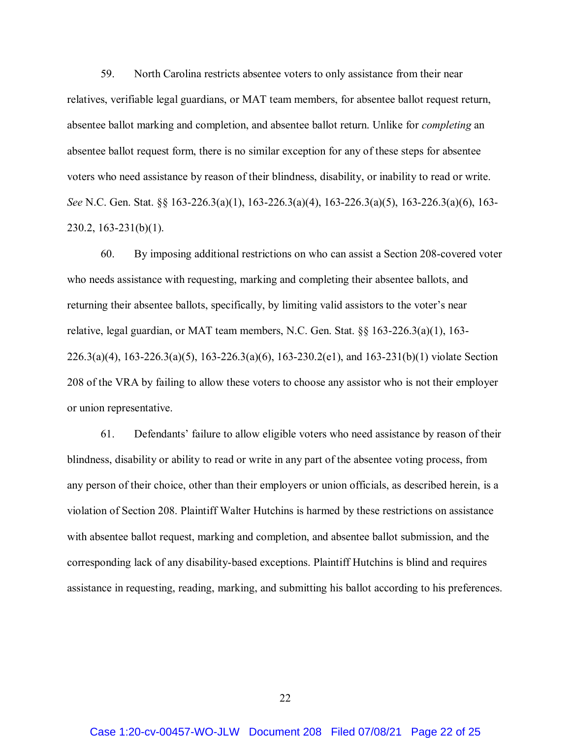59. North Carolina restricts absentee voters to only assistance from their near relatives, verifiable legal guardians, or MAT team members, for absentee ballot request return, absentee ballot marking and completion, and absentee ballot return. Unlike for *completing* an absentee ballot request form, there is no similar exception for any of these steps for absentee voters who need assistance by reason of their blindness, disability, or inability to read or write. *See* N.C. Gen. Stat. §§ 163-226.3(a)(1), 163-226.3(a)(4), 163-226.3(a)(5), 163-226.3(a)(6), 163- 230.2, 163-231(b)(1).

60. By imposing additional restrictions on who can assist a Section 208-covered voter who needs assistance with requesting, marking and completing their absentee ballots, and returning their absentee ballots, specifically, by limiting valid assistors to the voter's near relative, legal guardian, or MAT team members, N.C. Gen. Stat. §§ 163-226.3(a)(1), 163- 226.3(a)(4), 163-226.3(a)(5), 163-226.3(a)(6), 163-230.2(e1), and 163-231(b)(1) violate Section 208 of the VRA by failing to allow these voters to choose any assistor who is not their employer or union representative.

61. Defendants' failure to allow eligible voters who need assistance by reason of their blindness, disability or ability to read or write in any part of the absentee voting process, from any person of their choice, other than their employers or union officials, as described herein, is a violation of Section 208. Plaintiff Walter Hutchins is harmed by these restrictions on assistance with absentee ballot request, marking and completion, and absentee ballot submission, and the corresponding lack of any disability-based exceptions. Plaintiff Hutchins is blind and requires assistance in requesting, reading, marking, and submitting his ballot according to his preferences.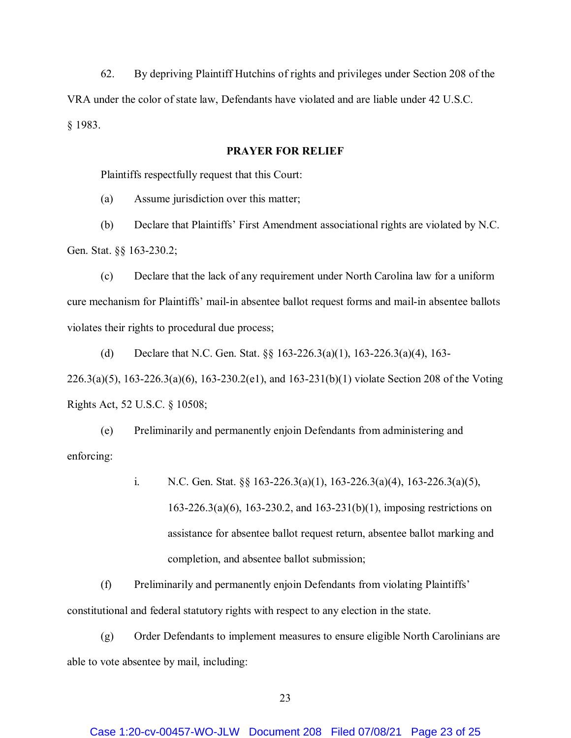62. By depriving Plaintiff Hutchins of rights and privileges under Section 208 of the VRA under the color of state law, Defendants have violated and are liable under 42 U.S.C. § 1983.

## **PRAYER FOR RELIEF**

Plaintiffs respectfully request that this Court:

(a) Assume jurisdiction over this matter;

(b) Declare that Plaintiffs' First Amendment associational rights are violated by N.C. Gen. Stat. §§ 163-230.2;

(c) Declare that the lack of any requirement under North Carolina law for a uniform cure mechanism for Plaintiffs' mail-in absentee ballot request forms and mail-in absentee ballots violates their rights to procedural due process;

(d) Declare that N.C. Gen. Stat. §§ 163-226.3(a)(1), 163-226.3(a)(4), 163- 226.3(a)(5), 163-226.3(a)(6), 163-230.2(e1), and 163-231(b)(1) violate Section 208 of the Voting Rights Act, 52 U.S.C. § 10508;

(e) Preliminarily and permanently enjoin Defendants from administering and enforcing:

> i. N.C. Gen. Stat. §§ 163-226.3(a)(1), 163-226.3(a)(4), 163-226.3(a)(5), 163-226.3(a)(6), 163-230.2, and 163-231(b)(1), imposing restrictions on assistance for absentee ballot request return, absentee ballot marking and completion, and absentee ballot submission;

(f) Preliminarily and permanently enjoin Defendants from violating Plaintiffs' constitutional and federal statutory rights with respect to any election in the state.

(g) Order Defendants to implement measures to ensure eligible North Carolinians are able to vote absentee by mail, including:

## Case 1:20-cv-00457-WO-JLW Document 208 Filed 07/08/21 Page 23 of 25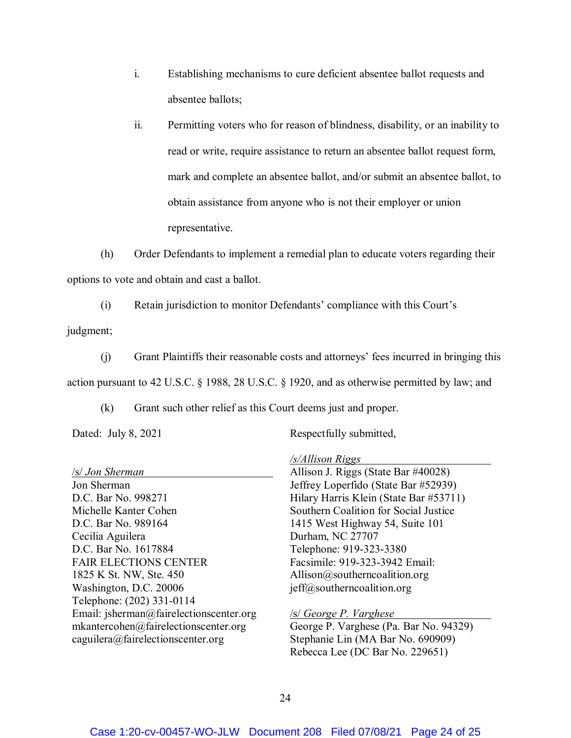- i. Establishing mechanisms to cure deficient absentee ballot requests and absentee ballots;
- ii. Permitting voters who for reason of blindness, disability, or an inability to read or write, require assistance to return an absentee ballot request form, mark and complete an absentee ballot, and/or submit an absentee ballot, to obtain assistance from anyone who is not their employer or union representative.

(h) Order Defendants to implement a remedial plan to educate voters regarding their options to vote and obtain and cast a ballot.

(i) Retain jurisdiction to monitor Defendants' compliance with this Court's judgment;

(j) Grant Plaintiffs their reasonable costs and attorneys' fees incurred in bringing this action pursuant to 42 U.S.C. § 1988, 28 U.S.C. § 1920, and as otherwise permitted by law; and

(k) Grant such other relief as this Court deems just and proper.

Dated: July 8, 2021

Respectfully submitted,

*/s/Allison Riggs*

|                                         | 5/11                                   |
|-----------------------------------------|----------------------------------------|
| /s/ Jon Sherman                         | Allison J. Riggs (State Bar #40028)    |
| Jon Sherman                             | Jeffrey Loperfido (State Bar #52939)   |
| D.C. Bar No. 998271                     | Hilary Harris Klein (State Bar #53711) |
| Michelle Kanter Cohen                   | Southern Coalition for Social Justice  |
| D.C. Bar No. 989164                     | 1415 West Highway 54, Suite 101        |
| Cecilia Aguilera                        | Durham, NC 27707                       |
| D.C. Bar No. 1617884                    | Telephone: 919-323-3380                |
| <b>FAIR ELECTIONS CENTER</b>            | Facsimile: 919-323-3942 Email:         |
| 1825 K St. NW, Ste. 450                 | Allison@southerncoalition.org          |
| Washington, D.C. 20006                  | $j$ eff@southerncoalition.org          |
| Telephone: (202) 331-0114               |                                        |
| Email: jsherman@fairelectionscenter.org | <b>SI George P. Varghese</b>           |
| mkantercohen@fairelectionscenter.org    | George P. Varghese (Pa. Bar No. 94329) |
| caguilera@fairelectionscenter.org       | Stephanie Lin (MA Bar No. 690909)      |
|                                         | Rebecca Lee (DC Bar No. 229651)        |